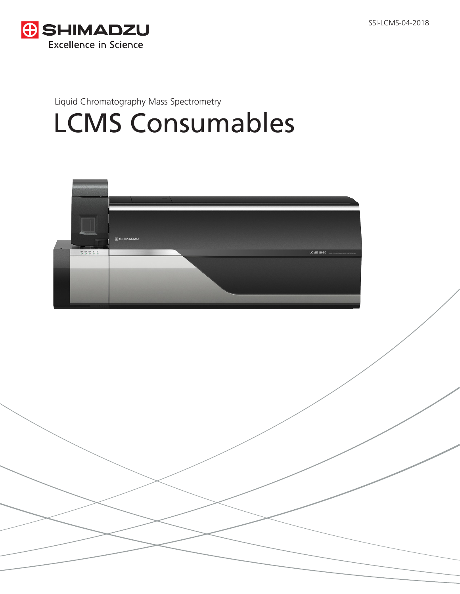

## Liquid Chromatography Mass Spectrometry LCMS Consumables

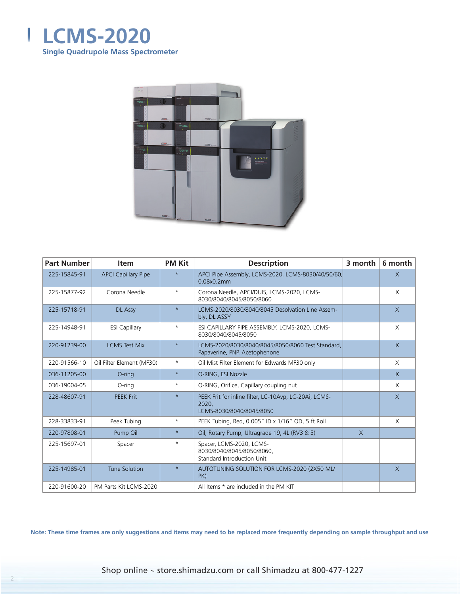



| <b>Part Number</b> | <b>Item</b>                | <b>PM Kit</b> | <b>Description</b>                                                                         | 3 month | 6 month      |
|--------------------|----------------------------|---------------|--------------------------------------------------------------------------------------------|---------|--------------|
| 225-15845-91       | <b>APCI Capillary Pipe</b> | $\star$       | APCI Pipe Assembly, LCMS-2020, LCMS-8030/40/50/60,<br>0.08x0.2mm                           |         | X            |
| 225-15877-92       | Corona Needle              | $\star$       | Corona Needle, APCI/DUIS, LCMS-2020, LCMS-<br>8030/8040/8045/8050/8060                     |         | X            |
| 225-15718-91       | DL Assy                    | $\star$       | LCMS-2020/8030/8040/8045 Desolvation Line Assem-<br>bly, DL ASSY                           |         | $\mathsf{X}$ |
| 225-14948-91       | <b>ESI Capillary</b>       | $\star$       | ESI CAPILLARY PIPE ASSEMBLY, LCMS-2020, LCMS-<br>8030/8040/8045/8050                       |         | X            |
| 220-91239-00       | <b>LCMS Test Mix</b>       | $\star$       | LCMS-2020/8030/8040/8045/8050/8060 Test Standard,<br>Papaverine, PNP, Acetophenone         |         | $\chi$       |
| 220-91566-10       | Oil Filter Element (MF30)  | $\star$       | Oil Mist Filter Element for Edwards MF30 only                                              |         | X            |
| 036-11205-00       | $O$ -ring                  | $\star$       | O-RING, ESI Nozzle                                                                         |         | $\mathsf{X}$ |
| 036-19004-05       | O-ring                     | $\star$       | O-RING, Orifice, Capillary coupling nut                                                    |         | X            |
| 228-48607-91       | <b>PEEK Frit</b>           | $\star$       | PEEK Frit for inline filter, LC-10Avp, LC-20Ai, LCMS-<br>2020,<br>LCMS-8030/8040/8045/8050 |         | $\chi$       |
| 228-33833-91       | Peek Tubing                | $\star$       | PEEK Tubing, Red, 0.005" ID x 1/16" OD, 5 ft Roll                                          |         | X            |
| 220-97808-01       | Pump Oil                   | $\star$       | Oil, Rotary Pump, Ultragrade 19, 4L (RV3 & 5)                                              | $\chi$  |              |
| 225-15697-01       | Spacer                     | $\star$       | Spacer, LCMS-2020, LCMS-<br>8030/8040/8045/8050/8060,<br>Standard Introduction Unit        |         |              |
| 225-14985-01       | Tune Solution              | $\star$       | AUTOTUNING SOLUTION FOR LCMS-2020 (2X50 ML/<br>PK)                                         |         | $\mathsf{X}$ |
| 220-91600-20       | PM Parts Kit LCMS-2020     |               | All Items * are included in the PM KIT                                                     |         |              |

Shop online ~ store.shimadzu.com or call Shimadzu at 800-477-1227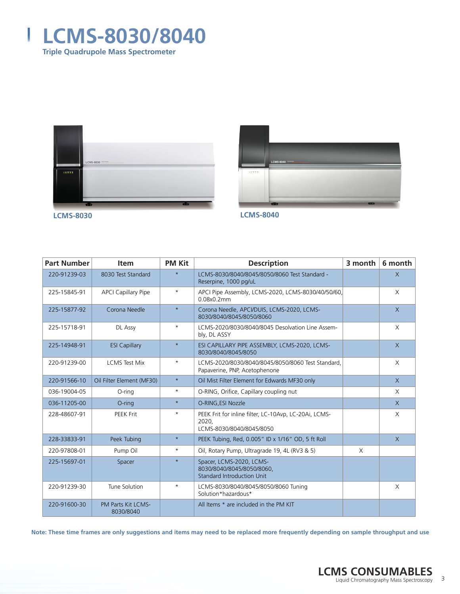





| <b>Part Number</b> | <b>Item</b>                     | <b>PM Kit</b> | <b>Description</b>                                                                         | 3 month  | 6 month      |
|--------------------|---------------------------------|---------------|--------------------------------------------------------------------------------------------|----------|--------------|
| 220-91239-03       | 8030 Test Standard              | $\star$       | LCMS-8030/8040/8045/8050/8060 Test Standard -<br>Reserpine, 1000 pg/uL                     |          | $\times$     |
| 225-15845-91       | <b>APCI Capillary Pipe</b>      | $\star$       | APCI Pipe Assembly, LCMS-2020, LCMS-8030/40/50/60,<br>0.08x0.2mm                           |          | X            |
| 225-15877-92       | Corona Needle                   | $\star$       | Corona Needle, APCI/DUIS, LCMS-2020, LCMS-<br>8030/8040/8045/8050/8060                     |          | $\mathsf{X}$ |
| 225-15718-91       | DL Assy                         | $\star$       | LCMS-2020/8030/8040/8045 Desolvation Line Assem-<br>bly, DL ASSY                           |          | X            |
| 225-14948-91       | <b>ESI Capillary</b>            | $\star$       | ESI CAPILLARY PIPE ASSEMBLY, LCMS-2020, LCMS-<br>8030/8040/8045/8050                       |          | $\chi$       |
| 220-91239-00       | <b>LCMS Test Mix</b>            | $\star$       | LCMS-2020/8030/8040/8045/8050/8060 Test Standard.<br>Papaverine, PNP, Acetophenone         |          | X            |
| 220-91566-10       | Oil Filter Element (MF30)       | $\star$       | Oil Mist Filter Element for Edwards MF30 only                                              |          | X            |
| 036-19004-05       | O-ring                          | $\star$       | O-RING, Orifice, Capillary coupling nut                                                    |          | X            |
| 036-11205-00       | $O$ -ring                       | $\star$       | O-RING, ESI Nozzle                                                                         |          | $\chi$       |
| 228-48607-91       | <b>PEEK Frit</b>                | $\star$       | PEEK Frit for inline filter, LC-10Avp, LC-20Ai, LCMS-<br>2020,<br>LCMS-8030/8040/8045/8050 |          | X            |
| 228-33833-91       | Peek Tubing                     | $\star$       | PEEK Tubing, Red, 0.005" ID x 1/16" OD, 5 ft Roll                                          |          | $\mathsf{X}$ |
| 220-97808-01       | Pump Oil                        | $\star$       | Oil, Rotary Pump, Ultragrade 19, 4L (RV3 & 5)                                              | $\times$ |              |
| 225-15697-01       | Spacer                          | $\star$       | Spacer, LCMS-2020, LCMS-<br>8030/8040/8045/8050/8060,<br><b>Standard Introduction Unit</b> |          |              |
| 220-91239-30       | Tune Solution                   | $\star$       | LCMS-8030/8040/8045/8050/8060 Tuning<br>Solution*hazardous*                                |          | $\times$     |
| 220-91600-30       | PM Parts Kit LCMS-<br>8030/8040 |               | All Items * are included in the PM KIT                                                     |          |              |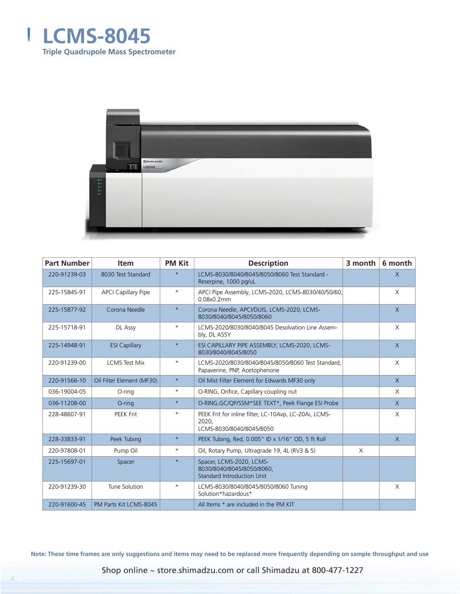



| <b>Part Number</b> | <b>Item</b>                | <b>PM Kit</b> | <b>Description</b>                                                                         | 3 month | 6 month      |
|--------------------|----------------------------|---------------|--------------------------------------------------------------------------------------------|---------|--------------|
| 220-91239-03       | 8030 Test Standard         | $\star$       | LCMS-8030/8040/8045/8050/8060 Test Standard -<br>Reserpine, 1000 pg/uL                     |         | $\chi$       |
| 225-15845-91       | <b>APCI Capillary Pipe</b> | $\star$       | APCI Pipe Assembly, LCMS-2020, LCMS-8030/40/50/60,<br>0.08x0.2mm                           |         | X            |
| 225-15877-92       | Corona Needle              | $\star$       | Corona Needle, APCI/DUIS, LCMS-2020, LCMS-<br>8030/8040/8045/8050/8060                     |         | $\mathsf{X}$ |
| 225-15718-91       | DL Assy                    | $\star$       | LCMS-2020/8030/8040/8045 Desolvation Line Assem-<br>bly, DL ASSY                           |         | $\times$     |
| 225-14948-91       | <b>ESI Capillary</b>       | $\star$       | ESI CAPILLARY PIPE ASSEMBLY, LCMS-2020, LCMS-<br>8030/8040/8045/8050                       |         | $\chi$       |
| 220-91239-00       | <b>LCMS Test Mix</b>       | $\star$       | LCMS-2020/8030/8040/8045/8050/8060 Test Standard.<br>Papaverine, PNP, Acetophenone         |         | X            |
| 220-91566-10       | Oil Filter Element (MF30)  | $\star$       | Oil Mist Filter Element for Edwards MF30 only                                              |         | X            |
| 036-19004-05       | O-ring                     | $^{\star}$    | O-RING, Orifice, Capillary coupling nut                                                    |         | $\times$     |
| 036-11208-00       | $O$ -ring                  | $\star$       | O-RING, GC/QP/SSM*SEE TEXT*, Peek Flange ESI Probe                                         |         | $\times$     |
| 228-48607-91       | <b>PEEK Frit</b>           | $\star$       | PEEK Frit for inline filter, LC-10Avp, LC-20Ai, LCMS-<br>2020.<br>LCMS-8030/8040/8045/8050 |         | X            |
| 228-33833-91       | Peek Tubing                | $\star$       | PEEK Tubing, Red, 0.005" ID x 1/16" OD, 5 ft Roll                                          |         | X            |
| 220-97808-01       | Pump Oil                   | $^{\star}$    | Oil, Rotary Pump, Ultragrade 19, 4L (RV3 & 5)                                              | X       |              |
| 225-15697-01       | Spacer                     | $\star$       | Spacer, LCMS-2020, LCMS-<br>8030/8040/8045/8050/8060.<br><b>Standard Introduction Unit</b> |         |              |
| 220-91239-30       | Tune Solution              | $^\star$      | LCMS-8030/8040/8045/8050/8060 Tuning<br>Solution*hazardous*                                |         | X            |
| 220-91600-45       | PM Parts Kit LCMS-8045     |               | All Items * are included in the PM KIT                                                     |         |              |

Shop online ~ store.shimadzu.com or call Shimadzu at 800-477-1227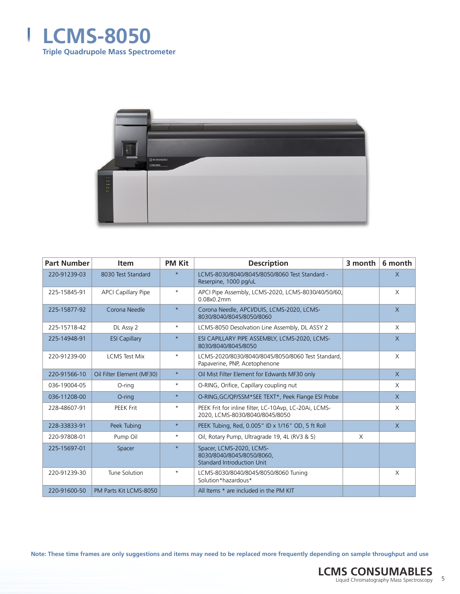



| <b>Part Number</b> | <b>Item</b>                | <b>PM Kit</b> | <b>Description</b>                                                                         | 3 month | 6 month      |
|--------------------|----------------------------|---------------|--------------------------------------------------------------------------------------------|---------|--------------|
| 220-91239-03       | 8030 Test Standard         | $\star$       | LCMS-8030/8040/8045/8050/8060 Test Standard -<br>Reserpine, 1000 pg/uL                     |         | $\chi$       |
| 225-15845-91       | <b>APCI Capillary Pipe</b> | $\star$       | APCI Pipe Assembly, LCMS-2020, LCMS-8030/40/50/60,<br>0.08x0.2mm                           |         | X            |
| 225-15877-92       | Corona Needle              | $\star$       | Corona Needle, APCI/DUIS, LCMS-2020, LCMS-<br>8030/8040/8045/8050/8060                     |         | $\mathsf{X}$ |
| 225-15718-42       | DL Assy 2                  | $^{\star}$    | LCMS-8050 Desolvation Line Assembly, DL ASSY 2                                             |         | X            |
| 225-14948-91       | <b>ESI Capillary</b>       | $\star$       | ESI CAPILLARY PIPE ASSEMBLY, LCMS-2020, LCMS-<br>8030/8040/8045/8050                       |         | $\times$     |
| 220-91239-00       | <b>LCMS Test Mix</b>       | $\star$       | LCMS-2020/8030/8040/8045/8050/8060 Test Standard.<br>Papaverine, PNP, Acetophenone         |         | X            |
| 220-91566-10       | Oil Filter Element (MF30)  | $\star$       | Oil Mist Filter Element for Edwards MF30 only                                              |         | $\mathsf{X}$ |
| 036-19004-05       | O-ring                     | $\star$       | O-RING, Orifice, Capillary coupling nut                                                    |         | X            |
| 036-11208-00       | $O$ -ring                  | $\star$       | O-RING, GC/QP/SSM*SEE TEXT*, Peek Flange ESI Probe                                         |         | $\mathsf{X}$ |
| 228-48607-91       | <b>PEEK Frit</b>           | $\star$       | PEEK Frit for inline filter, LC-10Avp, LC-20Ai, LCMS-<br>2020, LCMS-8030/8040/8045/8050    |         | X            |
| 228-33833-91       | Peek Tubing                | $\star$       | PEEK Tubing, Red, 0.005" ID x 1/16" OD, 5 ft Roll                                          |         | $\mathsf{X}$ |
| 220-97808-01       | Pump Oil                   | $^{\star}$    | Oil, Rotary Pump, Ultragrade 19, 4L (RV3 & 5)                                              | X       |              |
| 225-15697-01       | Spacer                     | $\star$       | Spacer, LCMS-2020, LCMS-<br>8030/8040/8045/8050/8060.<br><b>Standard Introduction Unit</b> |         |              |
| 220-91239-30       | Tune Solution              | $^\star$      | LCMS-8030/8040/8045/8050/8060 Tuning<br>Solution*hazardous*                                |         | X            |
| 220-91600-50       | PM Parts Kit LCMS-8050     |               | All Items * are included in the PM KIT                                                     |         |              |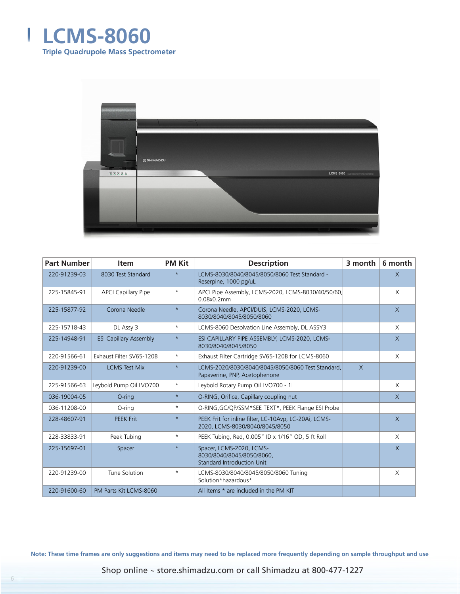



| <b>Part Number</b> | <b>Item</b>                   | <b>PM Kit</b> | <b>Description</b>                                                                      | 3 month | 6 month        |
|--------------------|-------------------------------|---------------|-----------------------------------------------------------------------------------------|---------|----------------|
| 220-91239-03       | 8030 Test Standard            | $\star$       | LCMS-8030/8040/8045/8050/8060 Test Standard -<br>Reserpine, 1000 pg/uL                  |         | $\chi$         |
| 225-15845-91       | <b>APCI Capillary Pipe</b>    | $\star$       | APCI Pipe Assembly, LCMS-2020, LCMS-8030/40/50/60,<br>0.08x0.2mm                        |         | $\chi$         |
| 225-15877-92       | Corona Needle                 | $\star$       | Corona Needle, APCI/DUIS, LCMS-2020, LCMS-<br>8030/8040/8045/8050/8060                  |         | $\mathsf{X}$   |
| 225-15718-43       | DL Assy 3                     | $\star$       | LCMS-8060 Desolvation Line Assembly, DL ASSY3                                           |         | $\times$       |
| 225-14948-91       | <b>ESI Capillary Assembly</b> | $\star$       | ESI CAPILLARY PIPE ASSEMBLY, LCMS-2020, LCMS-<br>8030/8040/8045/8050                    |         | $\chi$         |
| 220-91566-61       | Exhaust Filter SV65-120B      | $^{\star}$    | Exhaust Filter Cartridge SV65-120B for LCMS-8060                                        |         | $\times$       |
| 220-91239-00       | <b>LCMS Test Mix</b>          | $\star$       | LCMS-2020/8030/8040/8045/8050/8060 Test Standard.<br>Papaverine, PNP, Acetophenone      | $\chi$  |                |
| 225-91566-63       | Leybold Pump Oil LVO700       | $^{\star}$    | Leybold Rotary Pump Oil LVO700 - 1L                                                     |         | X              |
| 036-19004-05       | $O$ -ring                     | $\star$       | O-RING, Orifice, Capillary coupling nut                                                 |         | $\mathsf{X}$   |
| 036-11208-00       | O-ring                        | $^{\star}$    | O-RING, GC/QP/SSM*SEE TEXT*, PEEK Flange ESI Probe                                      |         |                |
| 228-48607-91       | <b>PEEK Frit</b>              | $\star$       | PEEK Frit for inline filter, LC-10Avp, LC-20Ai, LCMS-<br>2020, LCMS-8030/8040/8045/8050 |         | $\overline{X}$ |
| 228-33833-91       | Peek Tubing                   | $^{\star}$    | PEEK Tubing, Red, 0.005" ID x 1/16" OD, 5 ft Roll                                       |         | X              |
| 225-15697-01       | Spacer                        | $\star$       | Spacer, LCMS-2020, LCMS-<br>8030/8040/8045/8050/8060.<br>Standard Introduction Unit     |         | $\mathsf{X}$   |
| 220-91239-00       | Tune Solution                 | $^{\star}$    | LCMS-8030/8040/8045/8050/8060 Tuning<br>Solution*hazardous*                             |         | X              |
| 220-91600-60       | PM Parts Kit LCMS-8060        |               | All Items * are included in the PM KIT                                                  |         |                |

Shop online ~ store.shimadzu.com or call Shimadzu at 800-477-1227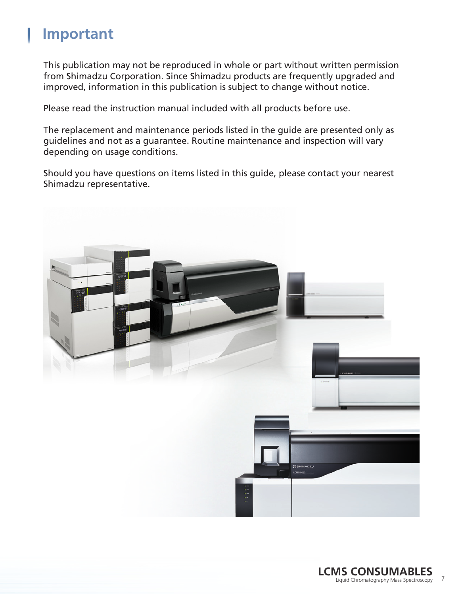## **Important**

This publication may not be reproduced in whole or part without written permission from Shimadzu Corporation. Since Shimadzu products are frequently upgraded and improved, information in this publication is subject to change without notice.

Please read the instruction manual included with all products before use.

The replacement and maintenance periods listed in the guide are presented only as guidelines and not as a guarantee. Routine maintenance and inspection will vary depending on usage conditions.

Should you have questions on items listed in this guide, please contact your nearest Shimadzu representative.